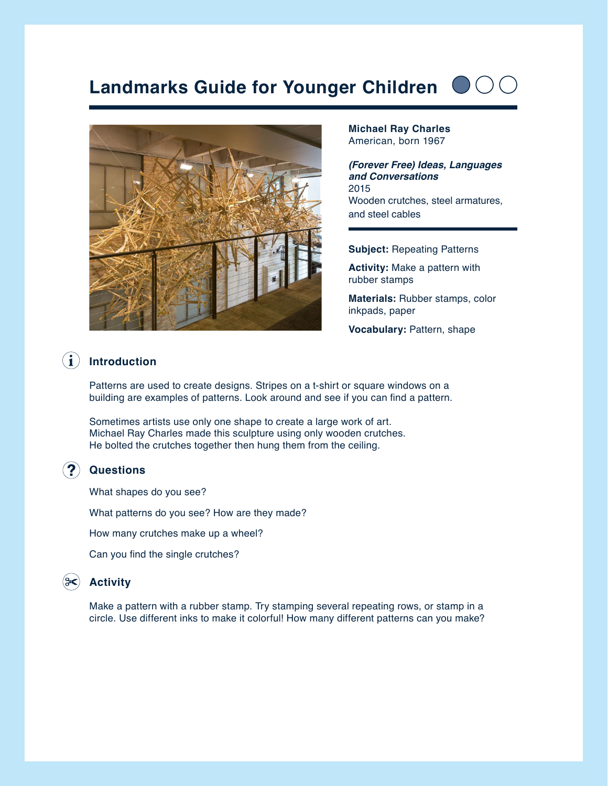# **Landmarks Guide for Younger Children**



**Michael Ray Charles** American, born 1967

*(Forever Free) Ideas, Languages and Conversations* 2015 Wooden crutches, steel armatures, and steel cables

**Subject:** Repeating Patterns

**Activity:** Make a pattern with rubber stamps

**Materials:** Rubber stamps, color inkpads, paper

**Vocabulary:** Pattern, shape

#### $\bf (i)$ **Introduction**

Patterns are used to create designs. Stripes on a t-shirt or square windows on a building are examples of patterns. Look around and see if you can find a pattern.

Sometimes artists use only one shape to create a large work of art. Michael Ray Charles made this sculpture using only wooden crutches. He bolted the crutches together then hung them from the ceiling.

#### **Questions**

What shapes do you see?

What patterns do you see? How are they made?

How many crutches make up a wheel?

Can you find the single crutches?

#### **Activity**

Make a pattern with a rubber stamp. Try stamping several repeating rows, or stamp in a circle. Use different inks to make it colorful! How many different patterns can you make?